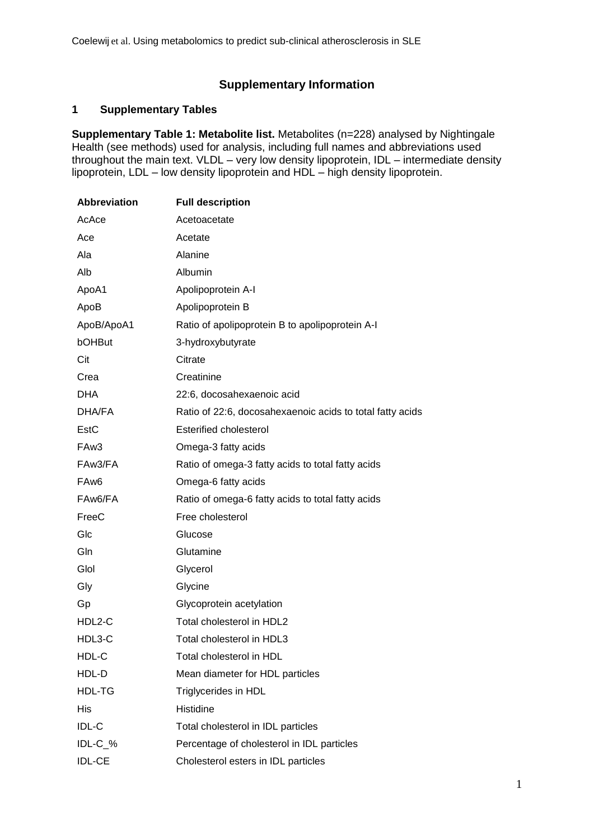# **Supplementary Information**

## **1 Supplementary Tables**

**Supplementary Table 1: Metabolite list.** Metabolites (n=228) analysed by Nightingale Health (see methods) used for analysis, including full names and abbreviations used throughout the main text. VLDL – very low density lipoprotein, IDL – intermediate density lipoprotein, LDL – low density lipoprotein and HDL – high density lipoprotein.

| <b>Abbreviation</b> | <b>Full description</b>                                   |  |  |  |  |  |
|---------------------|-----------------------------------------------------------|--|--|--|--|--|
| AcAce               | Acetoacetate                                              |  |  |  |  |  |
| Ace                 | Acetate                                                   |  |  |  |  |  |
| Ala                 | Alanine                                                   |  |  |  |  |  |
| Alb                 | Albumin                                                   |  |  |  |  |  |
| ApoA1               | Apolipoprotein A-I                                        |  |  |  |  |  |
| ApoB                | Apolipoprotein B                                          |  |  |  |  |  |
| ApoB/ApoA1          | Ratio of apolipoprotein B to apolipoprotein A-I           |  |  |  |  |  |
| bOHBut              | 3-hydroxybutyrate                                         |  |  |  |  |  |
| Cit                 | Citrate                                                   |  |  |  |  |  |
| Crea                | Creatinine                                                |  |  |  |  |  |
| <b>DHA</b>          | 22:6, docosahexaenoic acid                                |  |  |  |  |  |
| DHA/FA              | Ratio of 22:6, docosahexaenoic acids to total fatty acids |  |  |  |  |  |
| EstC                | Esterified cholesterol                                    |  |  |  |  |  |
| FAw3                | Omega-3 fatty acids                                       |  |  |  |  |  |
| FAw3/FA             | Ratio of omega-3 fatty acids to total fatty acids         |  |  |  |  |  |
| FA <sub>w</sub> 6   | Omega-6 fatty acids                                       |  |  |  |  |  |
| FAw6/FA             | Ratio of omega-6 fatty acids to total fatty acids         |  |  |  |  |  |
| FreeC               | Free cholesterol                                          |  |  |  |  |  |
| Glc                 | Glucose                                                   |  |  |  |  |  |
| Gln                 | Glutamine                                                 |  |  |  |  |  |
| Glol                | Glycerol                                                  |  |  |  |  |  |
| Gly                 | Glycine                                                   |  |  |  |  |  |
| Gp                  | Glycoprotein acetylation                                  |  |  |  |  |  |
| HDL2-C              | Total cholesterol in HDL2                                 |  |  |  |  |  |
| HDL3-C              | Total cholesterol in HDL3                                 |  |  |  |  |  |
| HDL-C               | Total cholesterol in HDL                                  |  |  |  |  |  |
| HDL-D               | Mean diameter for HDL particles                           |  |  |  |  |  |
| HDL-TG              | Triglycerides in HDL                                      |  |  |  |  |  |
| <b>His</b>          | Histidine                                                 |  |  |  |  |  |
| IDL-C               | Total cholesterol in IDL particles                        |  |  |  |  |  |
| IDL-C_%             | Percentage of cholesterol in IDL particles                |  |  |  |  |  |
| <b>IDL-CE</b>       | Cholesterol esters in IDL particles                       |  |  |  |  |  |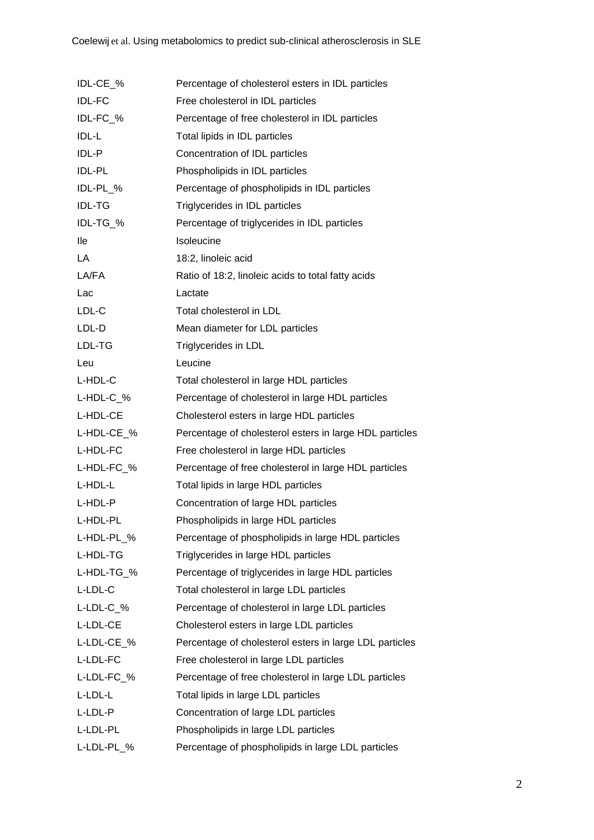| IDL-CE %               | Percentage of cholesterol esters in IDL particles       |  |  |  |  |  |
|------------------------|---------------------------------------------------------|--|--|--|--|--|
| <b>IDL-FC</b>          | Free cholesterol in IDL particles                       |  |  |  |  |  |
| IDL-FC_%               | Percentage of free cholesterol in IDL particles         |  |  |  |  |  |
| IDL-L                  | Total lipids in IDL particles                           |  |  |  |  |  |
| IDL-P                  | Concentration of IDL particles                          |  |  |  |  |  |
| <b>IDL-PL</b>          | Phospholipids in IDL particles                          |  |  |  |  |  |
| IDL-PL_%               | Percentage of phospholipids in IDL particles            |  |  |  |  |  |
| <b>IDL-TG</b>          | Triglycerides in IDL particles                          |  |  |  |  |  |
| IDL-TG_%               | Percentage of triglycerides in IDL particles            |  |  |  |  |  |
| lle                    | Isoleucine                                              |  |  |  |  |  |
| LA                     | 18:2, linoleic acid                                     |  |  |  |  |  |
| LA/FA                  | Ratio of 18:2, linoleic acids to total fatty acids      |  |  |  |  |  |
| Lac                    | Lactate                                                 |  |  |  |  |  |
| LDL-C                  | Total cholesterol in LDL                                |  |  |  |  |  |
| LDL-D                  | Mean diameter for LDL particles                         |  |  |  |  |  |
| LDL-TG                 | Triglycerides in LDL                                    |  |  |  |  |  |
| Leu                    | Leucine                                                 |  |  |  |  |  |
| L-HDL-C                | Total cholesterol in large HDL particles                |  |  |  |  |  |
| $L$ -HDL-C $_{\sim}$ % | Percentage of cholesterol in large HDL particles        |  |  |  |  |  |
| L-HDL-CE               | Cholesterol esters in large HDL particles               |  |  |  |  |  |
| L-HDL-CE_%             | Percentage of cholesterol esters in large HDL particles |  |  |  |  |  |
| L-HDL-FC               | Free cholesterol in large HDL particles                 |  |  |  |  |  |
| L-HDL-FC_%             | Percentage of free cholesterol in large HDL particles   |  |  |  |  |  |
| L-HDL-L                | Total lipids in large HDL particles                     |  |  |  |  |  |
| L-HDL-P                | Concentration of large HDL particles                    |  |  |  |  |  |
| L-HDL-PL               | Phospholipids in large HDL particles                    |  |  |  |  |  |
| L-HDL-PL_%             | Percentage of phospholipids in large HDL particles      |  |  |  |  |  |
| L-HDL-TG               | Triglycerides in large HDL particles                    |  |  |  |  |  |
| L-HDL-TG_%             | Percentage of triglycerides in large HDL particles      |  |  |  |  |  |
| L-LDL-C                | Total cholesterol in large LDL particles                |  |  |  |  |  |
| L-LDL-C %              | Percentage of cholesterol in large LDL particles        |  |  |  |  |  |
| L-LDL-CE               | Cholesterol esters in large LDL particles               |  |  |  |  |  |
| L-LDL-CE_%             | Percentage of cholesterol esters in large LDL particles |  |  |  |  |  |
| L-LDL-FC               | Free cholesterol in large LDL particles                 |  |  |  |  |  |
| L-LDL-FC_%             | Percentage of free cholesterol in large LDL particles   |  |  |  |  |  |
| L-LDL-L                | Total lipids in large LDL particles                     |  |  |  |  |  |
| L-LDL-P                | Concentration of large LDL particles                    |  |  |  |  |  |
| L-LDL-PL               | Phospholipids in large LDL particles                    |  |  |  |  |  |
| L-LDL-PL_%             | Percentage of phospholipids in large LDL particles      |  |  |  |  |  |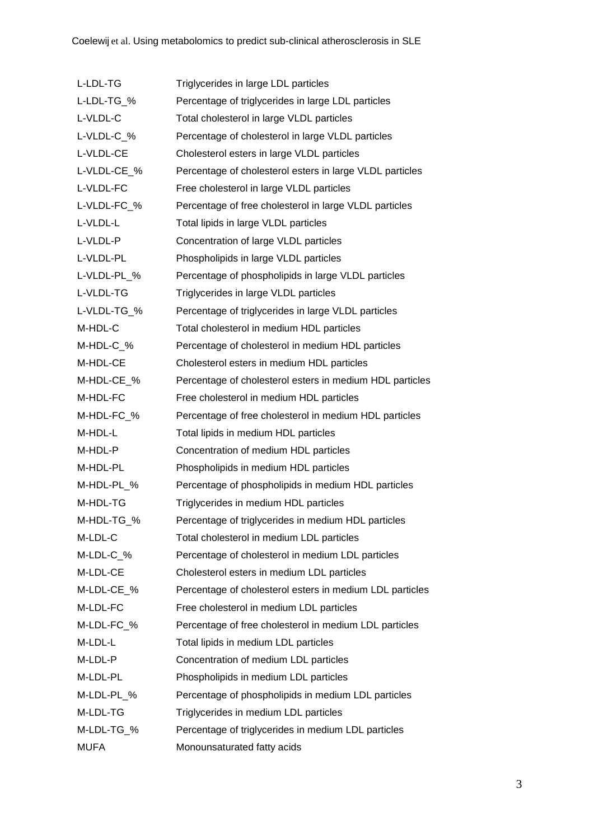| L-LDL-TG    | Triglycerides in large LDL particles                     |  |  |  |  |  |
|-------------|----------------------------------------------------------|--|--|--|--|--|
| L-LDL-TG_%  | Percentage of triglycerides in large LDL particles       |  |  |  |  |  |
| L-VLDL-C    | Total cholesterol in large VLDL particles                |  |  |  |  |  |
| L-VLDL-C_%  | Percentage of cholesterol in large VLDL particles        |  |  |  |  |  |
| L-VLDL-CE   | Cholesterol esters in large VLDL particles               |  |  |  |  |  |
| L-VLDL-CE_% | Percentage of cholesterol esters in large VLDL particles |  |  |  |  |  |
| L-VLDL-FC   | Free cholesterol in large VLDL particles                 |  |  |  |  |  |
| L-VLDL-FC_% | Percentage of free cholesterol in large VLDL particles   |  |  |  |  |  |
| L-VLDL-L    | Total lipids in large VLDL particles                     |  |  |  |  |  |
| L-VLDL-P    | Concentration of large VLDL particles                    |  |  |  |  |  |
| L-VLDL-PL   | Phospholipids in large VLDL particles                    |  |  |  |  |  |
| L-VLDL-PL_% | Percentage of phospholipids in large VLDL particles      |  |  |  |  |  |
| L-VLDL-TG   | Triglycerides in large VLDL particles                    |  |  |  |  |  |
| L-VLDL-TG_% | Percentage of triglycerides in large VLDL particles      |  |  |  |  |  |
| M-HDL-C     | Total cholesterol in medium HDL particles                |  |  |  |  |  |
| M-HDL-C_%   | Percentage of cholesterol in medium HDL particles        |  |  |  |  |  |
| M-HDL-CE    | Cholesterol esters in medium HDL particles               |  |  |  |  |  |
| M-HDL-CE_%  | Percentage of cholesterol esters in medium HDL particles |  |  |  |  |  |
| M-HDL-FC    | Free cholesterol in medium HDL particles                 |  |  |  |  |  |
| M-HDL-FC_%  | Percentage of free cholesterol in medium HDL particles   |  |  |  |  |  |
| M-HDL-L     | Total lipids in medium HDL particles                     |  |  |  |  |  |
| M-HDL-P     | Concentration of medium HDL particles                    |  |  |  |  |  |
| M-HDL-PL    | Phospholipids in medium HDL particles                    |  |  |  |  |  |
| M-HDL-PL_%  | Percentage of phospholipids in medium HDL particles      |  |  |  |  |  |
| M-HDL-TG    | Triglycerides in medium HDL particles                    |  |  |  |  |  |
| M-HDL-TG_%  | Percentage of triglycerides in medium HDL particles      |  |  |  |  |  |
| M-LDL-C     | Total cholesterol in medium LDL particles                |  |  |  |  |  |
| M-LDL-C %   | Percentage of cholesterol in medium LDL particles        |  |  |  |  |  |
| M-LDL-CE    | Cholesterol esters in medium LDL particles               |  |  |  |  |  |
| M-LDL-CE_%  | Percentage of cholesterol esters in medium LDL particles |  |  |  |  |  |
| M-LDL-FC    | Free cholesterol in medium LDL particles                 |  |  |  |  |  |
| M-LDL-FC_%  | Percentage of free cholesterol in medium LDL particles   |  |  |  |  |  |
| M-LDL-L     | Total lipids in medium LDL particles                     |  |  |  |  |  |
| M-LDL-P     | Concentration of medium LDL particles                    |  |  |  |  |  |
| M-LDL-PL    | Phospholipids in medium LDL particles                    |  |  |  |  |  |
| M-LDL-PL_%  | Percentage of phospholipids in medium LDL particles      |  |  |  |  |  |
| M-LDL-TG    | Triglycerides in medium LDL particles                    |  |  |  |  |  |
| M-LDL-TG_%  | Percentage of triglycerides in medium LDL particles      |  |  |  |  |  |
| <b>MUFA</b> | Monounsaturated fatty acids                              |  |  |  |  |  |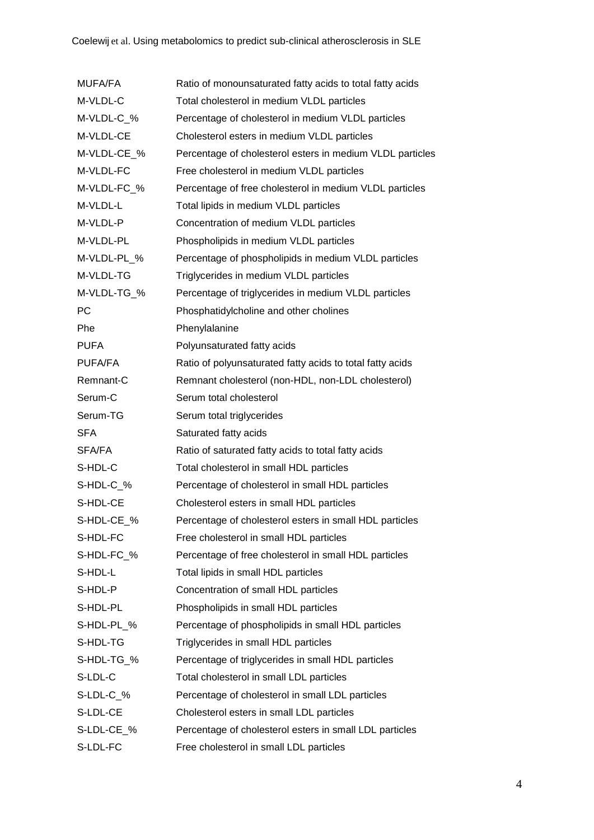| <b>MUFA/FA</b> | Ratio of monounsaturated fatty acids to total fatty acids |  |  |  |  |  |
|----------------|-----------------------------------------------------------|--|--|--|--|--|
| M-VLDL-C       | Total cholesterol in medium VLDL particles                |  |  |  |  |  |
| M-VLDL-C_%     | Percentage of cholesterol in medium VLDL particles        |  |  |  |  |  |
| M-VLDL-CE      | Cholesterol esters in medium VLDL particles               |  |  |  |  |  |
| M-VLDL-CE_%    | Percentage of cholesterol esters in medium VLDL particles |  |  |  |  |  |
| M-VLDL-FC      | Free cholesterol in medium VLDL particles                 |  |  |  |  |  |
| M-VLDL-FC_%    | Percentage of free cholesterol in medium VLDL particles   |  |  |  |  |  |
| M-VLDL-L       | Total lipids in medium VLDL particles                     |  |  |  |  |  |
| M-VLDL-P       | Concentration of medium VLDL particles                    |  |  |  |  |  |
| M-VLDL-PL      | Phospholipids in medium VLDL particles                    |  |  |  |  |  |
| M-VLDL-PL_%    | Percentage of phospholipids in medium VLDL particles      |  |  |  |  |  |
| M-VLDL-TG      | Triglycerides in medium VLDL particles                    |  |  |  |  |  |
| M-VLDL-TG_%    | Percentage of triglycerides in medium VLDL particles      |  |  |  |  |  |
| <b>PC</b>      | Phosphatidylcholine and other cholines                    |  |  |  |  |  |
| Phe            | Phenylalanine                                             |  |  |  |  |  |
| <b>PUFA</b>    | Polyunsaturated fatty acids                               |  |  |  |  |  |
| <b>PUFA/FA</b> | Ratio of polyunsaturated fatty acids to total fatty acids |  |  |  |  |  |
| Remnant-C      | Remnant cholesterol (non-HDL, non-LDL cholesterol)        |  |  |  |  |  |
| Serum-C        | Serum total cholesterol                                   |  |  |  |  |  |
| Serum-TG       | Serum total triglycerides                                 |  |  |  |  |  |
| <b>SFA</b>     | Saturated fatty acids                                     |  |  |  |  |  |
| SFA/FA         | Ratio of saturated fatty acids to total fatty acids       |  |  |  |  |  |
| S-HDL-C        | Total cholesterol in small HDL particles                  |  |  |  |  |  |
| S-HDL-C %      | Percentage of cholesterol in small HDL particles          |  |  |  |  |  |
| S-HDL-CE       | Cholesterol esters in small HDL particles                 |  |  |  |  |  |
| S-HDL-CE_%     | Percentage of cholesterol esters in small HDL particles   |  |  |  |  |  |
| S-HDL-FC       | Free cholesterol in small HDL particles                   |  |  |  |  |  |
| S-HDL-FC_%     | Percentage of free cholesterol in small HDL particles     |  |  |  |  |  |
| S-HDL-L        | Total lipids in small HDL particles                       |  |  |  |  |  |
| S-HDL-P        | Concentration of small HDL particles                      |  |  |  |  |  |
| S-HDL-PL       | Phospholipids in small HDL particles                      |  |  |  |  |  |
| S-HDL-PL_%     | Percentage of phospholipids in small HDL particles        |  |  |  |  |  |
| S-HDL-TG       | Triglycerides in small HDL particles                      |  |  |  |  |  |
| S-HDL-TG_%     | Percentage of triglycerides in small HDL particles        |  |  |  |  |  |
| S-LDL-C        | Total cholesterol in small LDL particles                  |  |  |  |  |  |
| S-LDL-C_%      | Percentage of cholesterol in small LDL particles          |  |  |  |  |  |
| S-LDL-CE       | Cholesterol esters in small LDL particles                 |  |  |  |  |  |
| S-LDL-CE_%     | Percentage of cholesterol esters in small LDL particles   |  |  |  |  |  |
| S-LDL-FC       | Free cholesterol in small LDL particles                   |  |  |  |  |  |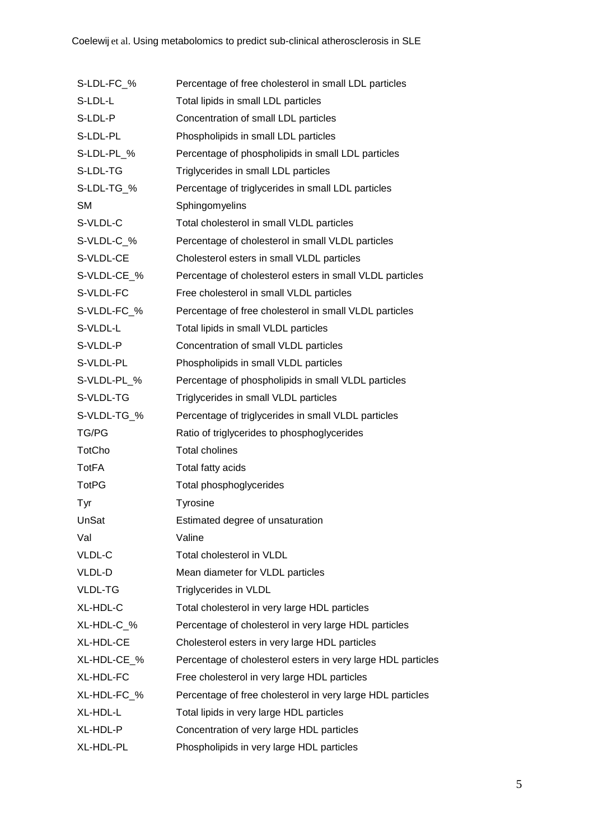| S-LDL-FC %   | Percentage of free cholesterol in small LDL particles        |  |  |  |  |  |
|--------------|--------------------------------------------------------------|--|--|--|--|--|
| S-LDL-L      | Total lipids in small LDL particles                          |  |  |  |  |  |
| S-LDL-P      | Concentration of small LDL particles                         |  |  |  |  |  |
| S-LDL-PL     | Phospholipids in small LDL particles                         |  |  |  |  |  |
| S-LDL-PL_%   | Percentage of phospholipids in small LDL particles           |  |  |  |  |  |
| S-LDL-TG     | Triglycerides in small LDL particles                         |  |  |  |  |  |
| S-LDL-TG_%   | Percentage of triglycerides in small LDL particles           |  |  |  |  |  |
| <b>SM</b>    | Sphingomyelins                                               |  |  |  |  |  |
| S-VLDL-C     | Total cholesterol in small VLDL particles                    |  |  |  |  |  |
| S-VLDL-C_%   | Percentage of cholesterol in small VLDL particles            |  |  |  |  |  |
| S-VLDL-CE    | Cholesterol esters in small VLDL particles                   |  |  |  |  |  |
| S-VLDL-CE_%  | Percentage of cholesterol esters in small VLDL particles     |  |  |  |  |  |
| S-VLDL-FC    | Free cholesterol in small VLDL particles                     |  |  |  |  |  |
| S-VLDL-FC_%  | Percentage of free cholesterol in small VLDL particles       |  |  |  |  |  |
| S-VLDL-L     | Total lipids in small VLDL particles                         |  |  |  |  |  |
| S-VLDL-P     | Concentration of small VLDL particles                        |  |  |  |  |  |
| S-VLDL-PL    | Phospholipids in small VLDL particles                        |  |  |  |  |  |
| S-VLDL-PL_%  | Percentage of phospholipids in small VLDL particles          |  |  |  |  |  |
| S-VLDL-TG    | Triglycerides in small VLDL particles                        |  |  |  |  |  |
| S-VLDL-TG_%  | Percentage of triglycerides in small VLDL particles          |  |  |  |  |  |
| TG/PG        | Ratio of triglycerides to phosphoglycerides                  |  |  |  |  |  |
| TotCho       | <b>Total cholines</b>                                        |  |  |  |  |  |
| <b>TotFA</b> | Total fatty acids                                            |  |  |  |  |  |
| <b>TotPG</b> | Total phosphoglycerides                                      |  |  |  |  |  |
| Tyr          | Tyrosine                                                     |  |  |  |  |  |
| UnSat        | Estimated degree of unsaturation                             |  |  |  |  |  |
| Val          | Valine                                                       |  |  |  |  |  |
| VLDL-C       | Total cholesterol in VLDL                                    |  |  |  |  |  |
| VLDL-D       | Mean diameter for VLDL particles                             |  |  |  |  |  |
| VLDL-TG      | Triglycerides in VLDL                                        |  |  |  |  |  |
| XL-HDL-C     | Total cholesterol in very large HDL particles                |  |  |  |  |  |
| XL-HDL-C_%   | Percentage of cholesterol in very large HDL particles        |  |  |  |  |  |
| XL-HDL-CE    | Cholesterol esters in very large HDL particles               |  |  |  |  |  |
| XL-HDL-CE_%  | Percentage of cholesterol esters in very large HDL particles |  |  |  |  |  |
| XL-HDL-FC    | Free cholesterol in very large HDL particles                 |  |  |  |  |  |
| XL-HDL-FC_%  | Percentage of free cholesterol in very large HDL particles   |  |  |  |  |  |
| XL-HDL-L     | Total lipids in very large HDL particles                     |  |  |  |  |  |
| XL-HDL-P     | Concentration of very large HDL particles                    |  |  |  |  |  |
| XL-HDL-PL    | Phospholipids in very large HDL particles                    |  |  |  |  |  |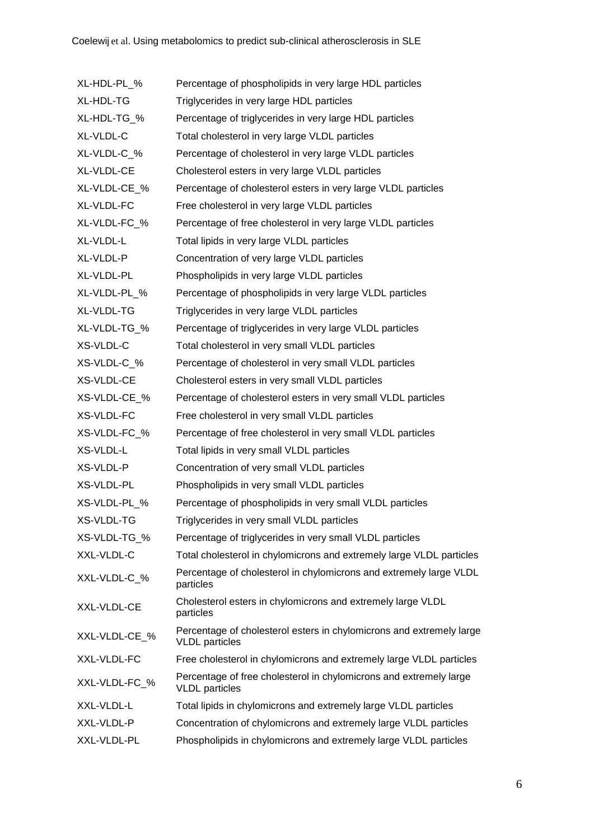| XL-HDL-PL_%   | Percentage of phospholipids in very large HDL particles                                       |  |  |  |
|---------------|-----------------------------------------------------------------------------------------------|--|--|--|
| XL-HDL-TG     | Triglycerides in very large HDL particles                                                     |  |  |  |
| XL-HDL-TG_%   | Percentage of triglycerides in very large HDL particles                                       |  |  |  |
| XL-VLDL-C     | Total cholesterol in very large VLDL particles                                                |  |  |  |
| XL-VLDL-C_%   | Percentage of cholesterol in very large VLDL particles                                        |  |  |  |
| XL-VLDL-CE    | Cholesterol esters in very large VLDL particles                                               |  |  |  |
| XL-VLDL-CE %  | Percentage of cholesterol esters in very large VLDL particles                                 |  |  |  |
| XL-VLDL-FC    | Free cholesterol in very large VLDL particles                                                 |  |  |  |
| XL-VLDL-FC_%  | Percentage of free cholesterol in very large VLDL particles                                   |  |  |  |
| XL-VLDL-L     | Total lipids in very large VLDL particles                                                     |  |  |  |
| XL-VLDL-P     | Concentration of very large VLDL particles                                                    |  |  |  |
| XL-VLDL-PL    | Phospholipids in very large VLDL particles                                                    |  |  |  |
| XL-VLDL-PL_%  | Percentage of phospholipids in very large VLDL particles                                      |  |  |  |
| XL-VLDL-TG    | Triglycerides in very large VLDL particles                                                    |  |  |  |
| XL-VLDL-TG_%  | Percentage of triglycerides in very large VLDL particles                                      |  |  |  |
| XS-VLDL-C     | Total cholesterol in very small VLDL particles                                                |  |  |  |
| XS-VLDL-C_%   | Percentage of cholesterol in very small VLDL particles                                        |  |  |  |
| XS-VLDL-CE    | Cholesterol esters in very small VLDL particles                                               |  |  |  |
| XS-VLDL-CE_%  | Percentage of cholesterol esters in very small VLDL particles                                 |  |  |  |
| XS-VLDL-FC    | Free cholesterol in very small VLDL particles                                                 |  |  |  |
| XS-VLDL-FC_%  | Percentage of free cholesterol in very small VLDL particles                                   |  |  |  |
| XS-VLDL-L     | Total lipids in very small VLDL particles                                                     |  |  |  |
| XS-VLDL-P     | Concentration of very small VLDL particles                                                    |  |  |  |
| XS-VLDL-PL    | Phospholipids in very small VLDL particles                                                    |  |  |  |
| XS-VLDL-PL_%  | Percentage of phospholipids in very small VLDL particles                                      |  |  |  |
| XS-VLDL-TG    | Triglycerides in very small VLDL particles                                                    |  |  |  |
| XS-VLDL-TG_%  | Percentage of triglycerides in very small VLDL particles                                      |  |  |  |
| XXL-VLDL-C    | Total cholesterol in chylomicrons and extremely large VLDL particles                          |  |  |  |
| XXL-VLDL-C_%  | Percentage of cholesterol in chylomicrons and extremely large VLDL<br>particles               |  |  |  |
| XXL-VLDL-CE   | Cholesterol esters in chylomicrons and extremely large VLDL<br>particles                      |  |  |  |
| XXL-VLDL-CE_% | Percentage of cholesterol esters in chylomicrons and extremely large<br><b>VLDL</b> particles |  |  |  |
| XXL-VLDL-FC   | Free cholesterol in chylomicrons and extremely large VLDL particles                           |  |  |  |
| XXL-VLDL-FC_% | Percentage of free cholesterol in chylomicrons and extremely large<br><b>VLDL</b> particles   |  |  |  |
| XXL-VLDL-L    | Total lipids in chylomicrons and extremely large VLDL particles                               |  |  |  |
| XXL-VLDL-P    | Concentration of chylomicrons and extremely large VLDL particles                              |  |  |  |
| XXL-VLDL-PL   | Phospholipids in chylomicrons and extremely large VLDL particles                              |  |  |  |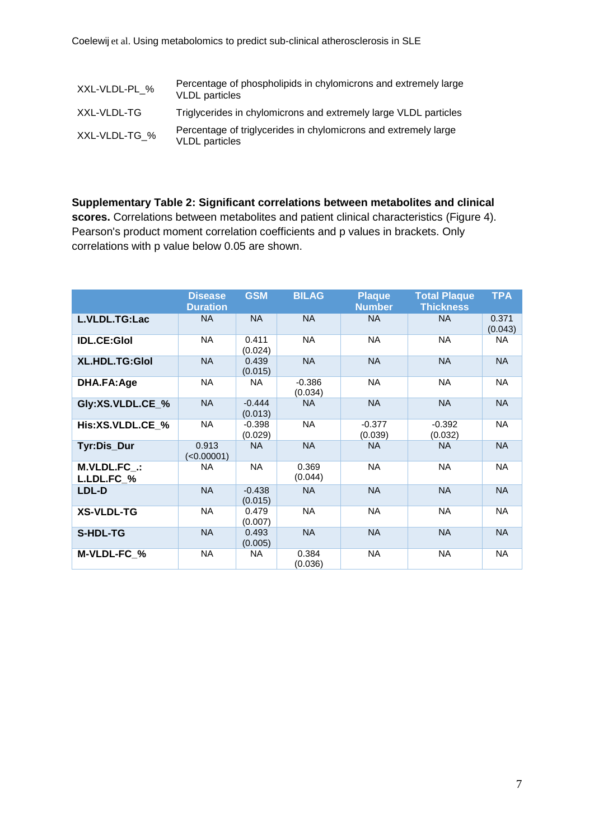| XXL-VLDL-PL % | Percentage of phospholipids in chylomicrons and extremely large<br><b>VLDL</b> particles |
|---------------|------------------------------------------------------------------------------------------|
| XXL-VLDL-TG   | Triglycerides in chylomicrons and extremely large VLDL particles                         |
| XXL-VLDL-TG % | Percentage of triglycerides in chylomicrons and extremely large<br><b>VLDL</b> particles |

**Supplementary Table 2: Significant correlations between metabolites and clinical scores.** Correlations between metabolites and patient clinical characteristics (Figure 4). Pearson's product moment correlation coefficients and p values in brackets. Only correlations with p value below 0.05 are shown.

|                            | <b>Disease</b><br><b>Duration</b> | <b>GSM</b>          | <b>BILAG</b>        | <b>Plaque</b><br><b>Number</b> | <b>Total Plaque</b><br><b>Thickness</b> | <b>TPA</b>       |
|----------------------------|-----------------------------------|---------------------|---------------------|--------------------------------|-----------------------------------------|------------------|
| L.VLDL.TG:Lac              | NA.                               | <b>NA</b>           | <b>NA</b>           | <b>NA</b>                      | <b>NA</b>                               | 0.371<br>(0.043) |
| <b>IDL.CE:Glol</b>         | <b>NA</b>                         | 0.411<br>(0.024)    | <b>NA</b>           | <b>NA</b>                      | <b>NA</b>                               | NA.              |
| XL.HDL.TG:Glol             | <b>NA</b>                         | 0.439<br>(0.015)    | <b>NA</b>           | <b>NA</b>                      | <b>NA</b>                               | <b>NA</b>        |
| DHA.FA:Age                 | <b>NA</b>                         | NA                  | $-0.386$<br>(0.034) | <b>NA</b>                      | <b>NA</b>                               | NA               |
| Gly:XS.VLDL.CE_%           | <b>NA</b>                         | $-0.444$<br>(0.013) | <b>NA</b>           | <b>NA</b>                      | <b>NA</b>                               | <b>NA</b>        |
| His:XS.VLDL.CE_%           | <b>NA</b>                         | $-0.398$<br>(0.029) | <b>NA</b>           | $-0.377$<br>(0.039)            | $-0.392$<br>(0.032)                     | <b>NA</b>        |
| Tyr:Dis_Dur                | 0.913<br>(<0.00001)               | <b>NA</b>           | <b>NA</b>           | <b>NA</b>                      | <b>NA</b>                               | <b>NA</b>        |
| M.VLDL.FC .:<br>L.LDL.FC_% | NA                                | <b>NA</b>           | 0.369<br>(0.044)    | <b>NA</b>                      | <b>NA</b>                               | <b>NA</b>        |
| LDL-D                      | <b>NA</b>                         | $-0.438$<br>(0.015) | <b>NA</b>           | <b>NA</b>                      | <b>NA</b>                               | <b>NA</b>        |
| <b>XS-VLDL-TG</b>          | <b>NA</b>                         | 0.479<br>(0.007)    | <b>NA</b>           | <b>NA</b>                      | <b>NA</b>                               | NA               |
| <b>S-HDL-TG</b>            | <b>NA</b>                         | 0.493<br>(0.005)    | <b>NA</b>           | <b>NA</b>                      | <b>NA</b>                               | <b>NA</b>        |
| M-VLDL-FC_%                | <b>NA</b>                         | <b>NA</b>           | 0.384<br>(0.036)    | <b>NA</b>                      | <b>NA</b>                               | <b>NA</b>        |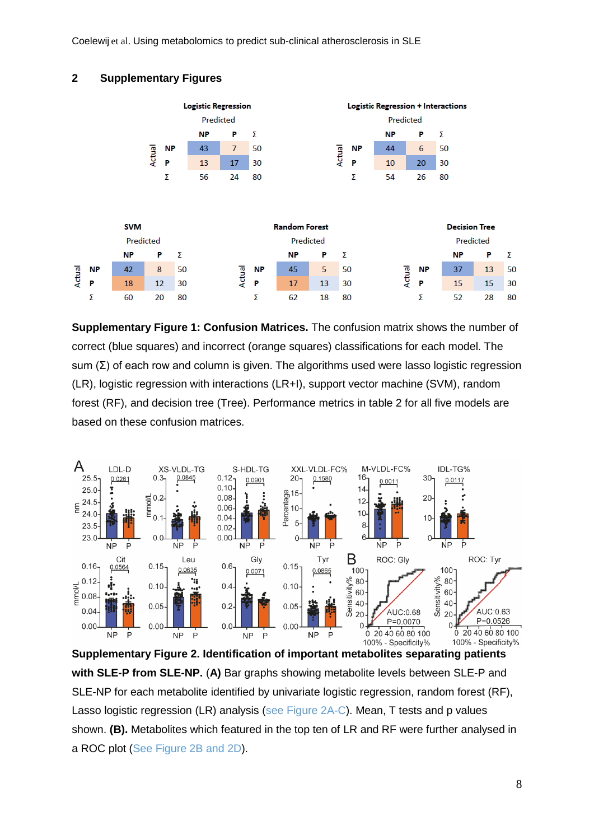Coelewij et al. Using metabolomics to predict sub-clinical atherosclerosis in SLE

# **2 Supplementary Figures**



**Supplementary Figure 1: Confusion Matrices.** The confusion matrix shows the number of correct (blue squares) and incorrect (orange squares) classifications for each model. The sum (Σ) of each row and column is given. The algorithms used were lasso logistic regression (LR), logistic regression with interactions (LR+I), support vector machine (SVM), random forest (RF), and decision tree (Tree). Performance metrics in table 2 for all five models are based on these confusion matrices.



**Supplementary Figure 2. Identification of important metabolites separating patients with SLE-P from SLE-NP.** (**A)** Bar graphs showing metabolite levels between SLE-P and SLE-NP for each metabolite identified by univariate logistic regression, random forest (RF), Lasso logistic regression (LR) analysis (see Figure 2A-C). Mean, T tests and p values shown. **(B).** Metabolites which featured in the top ten of LR and RF were further analysed in a ROC plot (See Figure 2B and 2D).